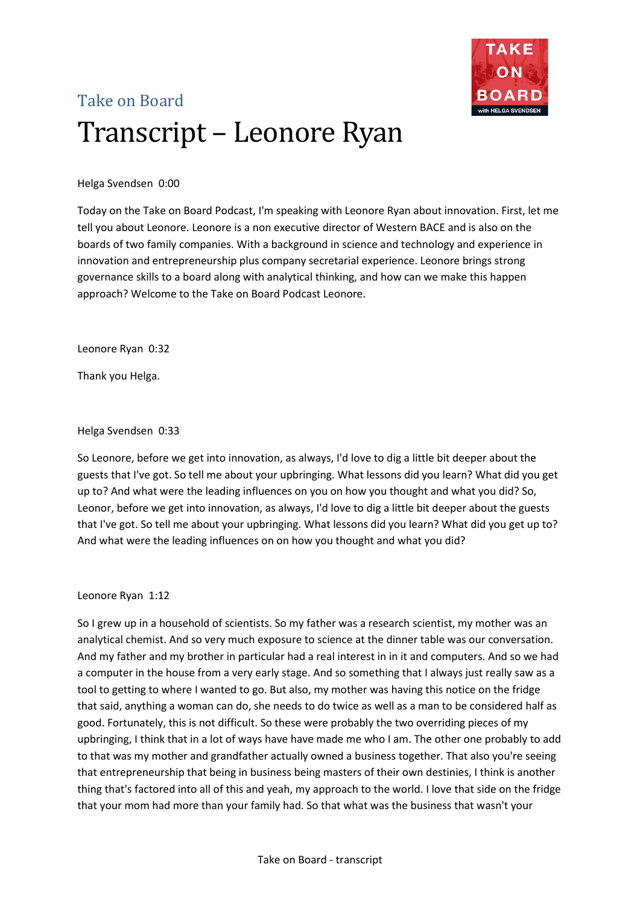

# Take on Board Transcript – Leonore Ryan

Helga Svendsen 0:00

Today on the Take on Board Podcast, I'm speaking with Leonore Ryan about innovation. First, let me tell you about Leonore. Leonore is a non executive director of Western BACE and is also on the boards of two family companies. With a background in science and technology and experience in innovation and entrepreneurship plus company secretarial experience. Leonore brings strong governance skills to a board along with analytical thinking, and how can we make this happen approach? Welcome to the Take on Board Podcast Leonore.

Leonore Ryan 0:32

Thank you Helga.

Helga Svendsen 0:33

So Leonore, before we get into innovation, as always, I'd love to dig a little bit deeper about the guests that I've got. So tell me about your upbringing. What lessons did you learn? What did you get up to? And what were the leading influences on you on how you thought and what you did? So, Leonor, before we get into innovation, as always, I'd love to dig a little bit deeper about the guests that I've got. So tell me about your upbringing. What lessons did you learn? What did you get up to? And what were the leading influences on on how you thought and what you did?

## Leonore Ryan 1:12

So I grew up in a household of scientists. So my father was a research scientist, my mother was an analytical chemist. And so very much exposure to science at the dinner table was our conversation. And my father and my brother in particular had a real interest in in it and computers. And so we had a computer in the house from a very early stage. And so something that I always just really saw as a tool to getting to where I wanted to go. But also, my mother was having this notice on the fridge that said, anything a woman can do, she needs to do twice as well as a man to be considered half as good. Fortunately, this is not difficult. So these were probably the two overriding pieces of my upbringing, I think that in a lot of ways have have made me who I am. The other one probably to add to that was my mother and grandfather actually owned a business together. That also you're seeing that entrepreneurship that being in business being masters of their own destinies, I think is another thing that's factored into all of this and yeah, my approach to the world. I love that side on the fridge that your mom had more than your family had. So that what was the business that wasn't your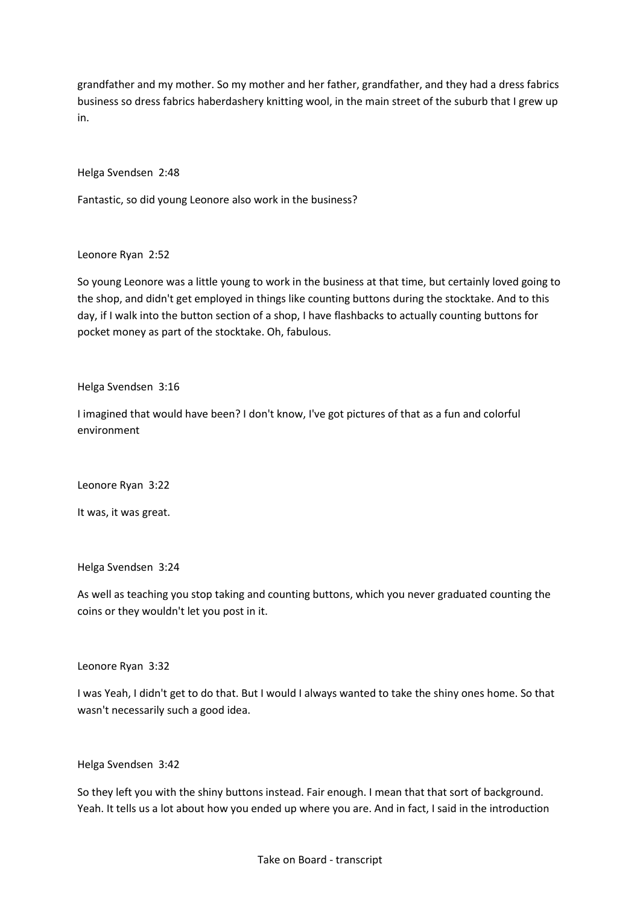grandfather and my mother. So my mother and her father, grandfather, and they had a dress fabrics business so dress fabrics haberdashery knitting wool, in the main street of the suburb that I grew up in.

Helga Svendsen 2:48

Fantastic, so did young Leonore also work in the business?

Leonore Ryan 2:52

So young Leonore was a little young to work in the business at that time, but certainly loved going to the shop, and didn't get employed in things like counting buttons during the stocktake. And to this day, if I walk into the button section of a shop, I have flashbacks to actually counting buttons for pocket money as part of the stocktake. Oh, fabulous.

Helga Svendsen 3:16

I imagined that would have been? I don't know, I've got pictures of that as a fun and colorful environment

Leonore Ryan 3:22

It was, it was great.

Helga Svendsen 3:24

As well as teaching you stop taking and counting buttons, which you never graduated counting the coins or they wouldn't let you post in it.

Leonore Ryan 3:32

I was Yeah, I didn't get to do that. But I would I always wanted to take the shiny ones home. So that wasn't necessarily such a good idea.

Helga Svendsen 3:42

So they left you with the shiny buttons instead. Fair enough. I mean that that sort of background. Yeah. It tells us a lot about how you ended up where you are. And in fact, I said in the introduction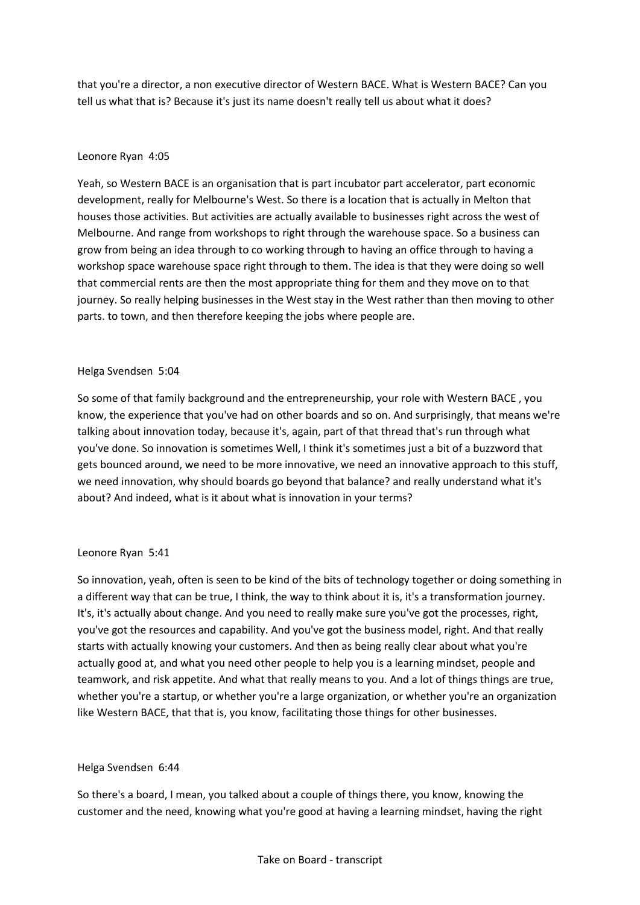that you're a director, a non executive director of Western BACE. What is Western BACE? Can you tell us what that is? Because it's just its name doesn't really tell us about what it does?

## Leonore Ryan 4:05

Yeah, so Western BACE is an organisation that is part incubator part accelerator, part economic development, really for Melbourne's West. So there is a location that is actually in Melton that houses those activities. But activities are actually available to businesses right across the west of Melbourne. And range from workshops to right through the warehouse space. So a business can grow from being an idea through to co working through to having an office through to having a workshop space warehouse space right through to them. The idea is that they were doing so well that commercial rents are then the most appropriate thing for them and they move on to that journey. So really helping businesses in the West stay in the West rather than then moving to other parts. to town, and then therefore keeping the jobs where people are.

## Helga Svendsen 5:04

So some of that family background and the entrepreneurship, your role with Western BACE , you know, the experience that you've had on other boards and so on. And surprisingly, that means we're talking about innovation today, because it's, again, part of that thread that's run through what you've done. So innovation is sometimes Well, I think it's sometimes just a bit of a buzzword that gets bounced around, we need to be more innovative, we need an innovative approach to this stuff, we need innovation, why should boards go beyond that balance? and really understand what it's about? And indeed, what is it about what is innovation in your terms?

## Leonore Ryan 5:41

So innovation, yeah, often is seen to be kind of the bits of technology together or doing something in a different way that can be true, I think, the way to think about it is, it's a transformation journey. It's, it's actually about change. And you need to really make sure you've got the processes, right, you've got the resources and capability. And you've got the business model, right. And that really starts with actually knowing your customers. And then as being really clear about what you're actually good at, and what you need other people to help you is a learning mindset, people and teamwork, and risk appetite. And what that really means to you. And a lot of things things are true, whether you're a startup, or whether you're a large organization, or whether you're an organization like Western BACE, that that is, you know, facilitating those things for other businesses.

## Helga Svendsen 6:44

So there's a board, I mean, you talked about a couple of things there, you know, knowing the customer and the need, knowing what you're good at having a learning mindset, having the right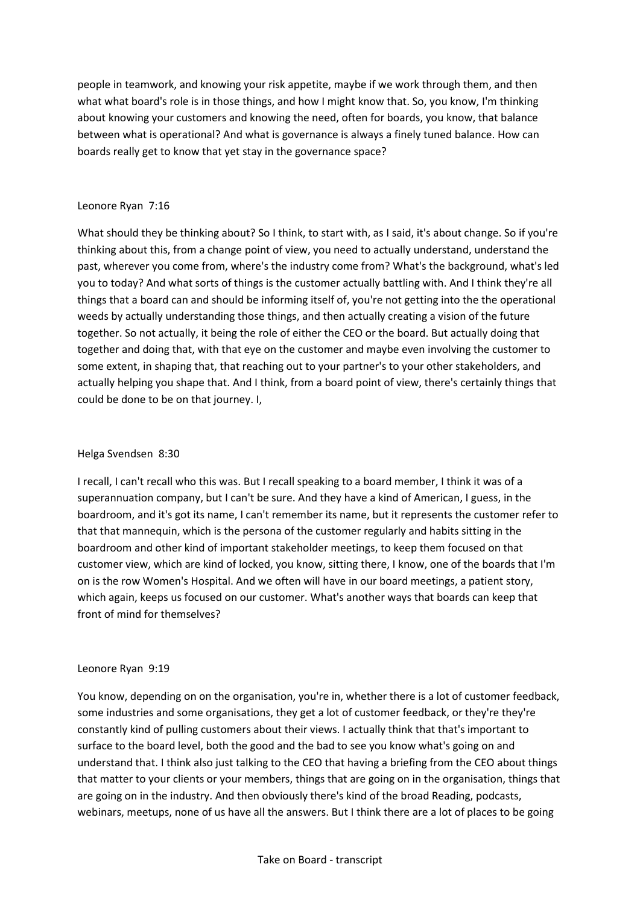people in teamwork, and knowing your risk appetite, maybe if we work through them, and then what what board's role is in those things, and how I might know that. So, you know, I'm thinking about knowing your customers and knowing the need, often for boards, you know, that balance between what is operational? And what is governance is always a finely tuned balance. How can boards really get to know that yet stay in the governance space?

# Leonore Ryan 7:16

What should they be thinking about? So I think, to start with, as I said, it's about change. So if you're thinking about this, from a change point of view, you need to actually understand, understand the past, wherever you come from, where's the industry come from? What's the background, what's led you to today? And what sorts of things is the customer actually battling with. And I think they're all things that a board can and should be informing itself of, you're not getting into the the operational weeds by actually understanding those things, and then actually creating a vision of the future together. So not actually, it being the role of either the CEO or the board. But actually doing that together and doing that, with that eye on the customer and maybe even involving the customer to some extent, in shaping that, that reaching out to your partner's to your other stakeholders, and actually helping you shape that. And I think, from a board point of view, there's certainly things that could be done to be on that journey. I,

# Helga Svendsen 8:30

I recall, I can't recall who this was. But I recall speaking to a board member, I think it was of a superannuation company, but I can't be sure. And they have a kind of American, I guess, in the boardroom, and it's got its name, I can't remember its name, but it represents the customer refer to that that mannequin, which is the persona of the customer regularly and habits sitting in the boardroom and other kind of important stakeholder meetings, to keep them focused on that customer view, which are kind of locked, you know, sitting there, I know, one of the boards that I'm on is the row Women's Hospital. And we often will have in our board meetings, a patient story, which again, keeps us focused on our customer. What's another ways that boards can keep that front of mind for themselves?

## Leonore Ryan 9:19

You know, depending on on the organisation, you're in, whether there is a lot of customer feedback, some industries and some organisations, they get a lot of customer feedback, or they're they're constantly kind of pulling customers about their views. I actually think that that's important to surface to the board level, both the good and the bad to see you know what's going on and understand that. I think also just talking to the CEO that having a briefing from the CEO about things that matter to your clients or your members, things that are going on in the organisation, things that are going on in the industry. And then obviously there's kind of the broad Reading, podcasts, webinars, meetups, none of us have all the answers. But I think there are a lot of places to be going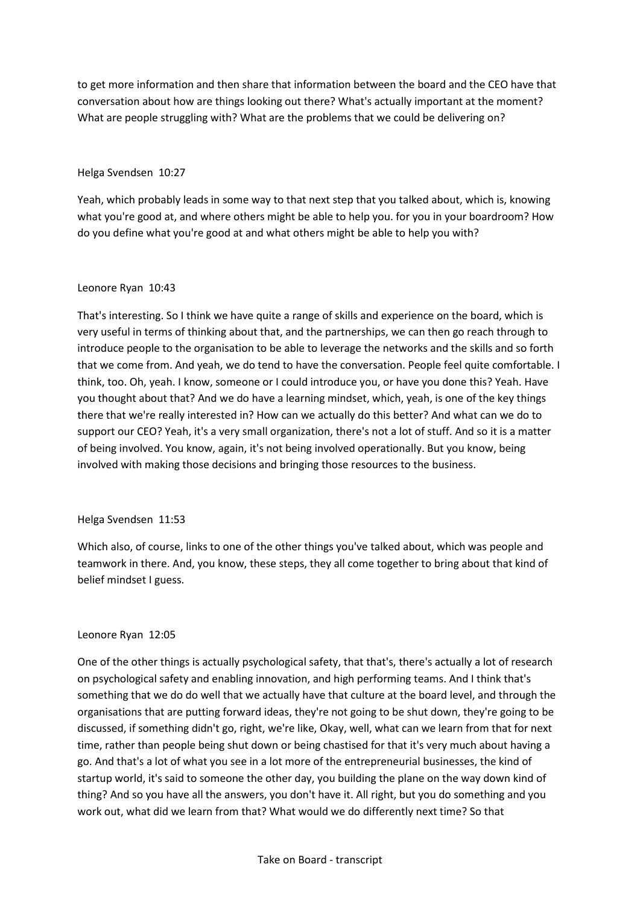to get more information and then share that information between the board and the CEO have that conversation about how are things looking out there? What's actually important at the moment? What are people struggling with? What are the problems that we could be delivering on?

## Helga Svendsen 10:27

Yeah, which probably leads in some way to that next step that you talked about, which is, knowing what you're good at, and where others might be able to help you. for you in your boardroom? How do you define what you're good at and what others might be able to help you with?

## Leonore Ryan 10:43

That's interesting. So I think we have quite a range of skills and experience on the board, which is very useful in terms of thinking about that, and the partnerships, we can then go reach through to introduce people to the organisation to be able to leverage the networks and the skills and so forth that we come from. And yeah, we do tend to have the conversation. People feel quite comfortable. I think, too. Oh, yeah. I know, someone or I could introduce you, or have you done this? Yeah. Have you thought about that? And we do have a learning mindset, which, yeah, is one of the key things there that we're really interested in? How can we actually do this better? And what can we do to support our CEO? Yeah, it's a very small organization, there's not a lot of stuff. And so it is a matter of being involved. You know, again, it's not being involved operationally. But you know, being involved with making those decisions and bringing those resources to the business.

## Helga Svendsen 11:53

Which also, of course, links to one of the other things you've talked about, which was people and teamwork in there. And, you know, these steps, they all come together to bring about that kind of belief mindset I guess.

## Leonore Ryan 12:05

One of the other things is actually psychological safety, that that's, there's actually a lot of research on psychological safety and enabling innovation, and high performing teams. And I think that's something that we do do well that we actually have that culture at the board level, and through the organisations that are putting forward ideas, they're not going to be shut down, they're going to be discussed, if something didn't go, right, we're like, Okay, well, what can we learn from that for next time, rather than people being shut down or being chastised for that it's very much about having a go. And that's a lot of what you see in a lot more of the entrepreneurial businesses, the kind of startup world, it's said to someone the other day, you building the plane on the way down kind of thing? And so you have all the answers, you don't have it. All right, but you do something and you work out, what did we learn from that? What would we do differently next time? So that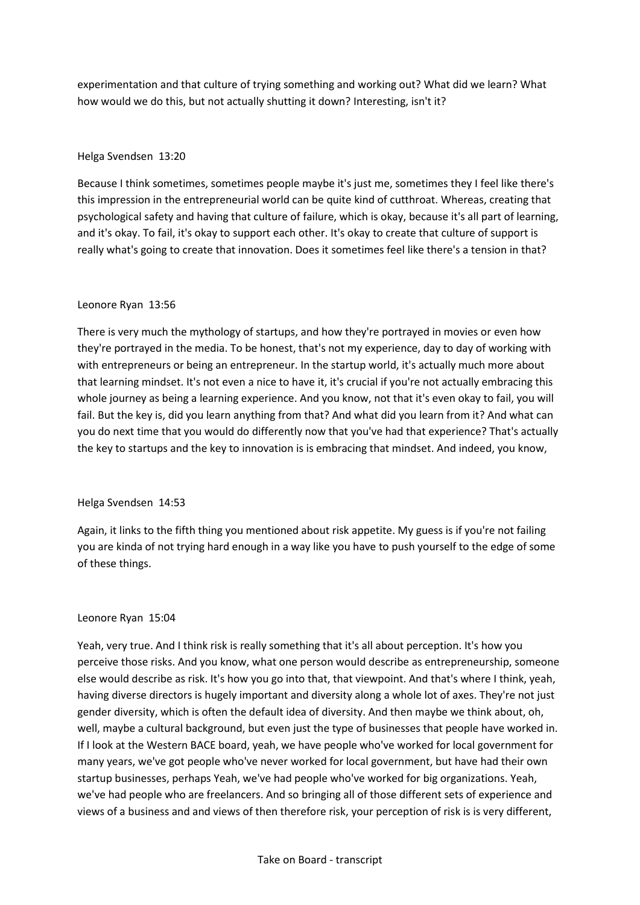experimentation and that culture of trying something and working out? What did we learn? What how would we do this, but not actually shutting it down? Interesting, isn't it?

## Helga Svendsen 13:20

Because I think sometimes, sometimes people maybe it's just me, sometimes they I feel like there's this impression in the entrepreneurial world can be quite kind of cutthroat. Whereas, creating that psychological safety and having that culture of failure, which is okay, because it's all part of learning, and it's okay. To fail, it's okay to support each other. It's okay to create that culture of support is really what's going to create that innovation. Does it sometimes feel like there's a tension in that?

#### Leonore Ryan 13:56

There is very much the mythology of startups, and how they're portrayed in movies or even how they're portrayed in the media. To be honest, that's not my experience, day to day of working with with entrepreneurs or being an entrepreneur. In the startup world, it's actually much more about that learning mindset. It's not even a nice to have it, it's crucial if you're not actually embracing this whole journey as being a learning experience. And you know, not that it's even okay to fail, you will fail. But the key is, did you learn anything from that? And what did you learn from it? And what can you do next time that you would do differently now that you've had that experience? That's actually the key to startups and the key to innovation is is embracing that mindset. And indeed, you know,

## Helga Svendsen 14:53

Again, it links to the fifth thing you mentioned about risk appetite. My guess is if you're not failing you are kinda of not trying hard enough in a way like you have to push yourself to the edge of some of these things.

#### Leonore Ryan 15:04

Yeah, very true. And I think risk is really something that it's all about perception. It's how you perceive those risks. And you know, what one person would describe as entrepreneurship, someone else would describe as risk. It's how you go into that, that viewpoint. And that's where I think, yeah, having diverse directors is hugely important and diversity along a whole lot of axes. They're not just gender diversity, which is often the default idea of diversity. And then maybe we think about, oh, well, maybe a cultural background, but even just the type of businesses that people have worked in. If I look at the Western BACE board, yeah, we have people who've worked for local government for many years, we've got people who've never worked for local government, but have had their own startup businesses, perhaps Yeah, we've had people who've worked for big organizations. Yeah, we've had people who are freelancers. And so bringing all of those different sets of experience and views of a business and and views of then therefore risk, your perception of risk is is very different,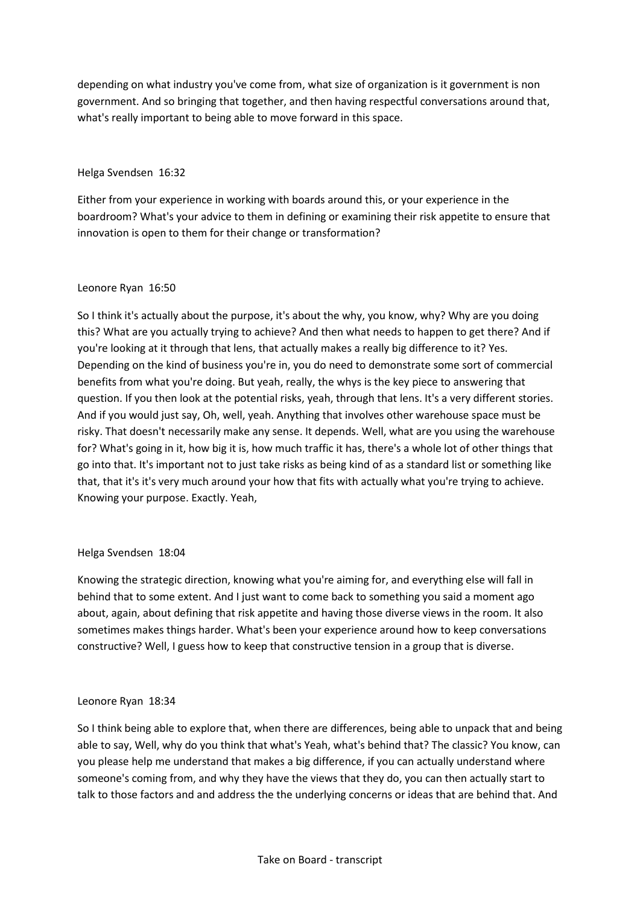depending on what industry you've come from, what size of organization is it government is non government. And so bringing that together, and then having respectful conversations around that, what's really important to being able to move forward in this space.

# Helga Svendsen 16:32

Either from your experience in working with boards around this, or your experience in the boardroom? What's your advice to them in defining or examining their risk appetite to ensure that innovation is open to them for their change or transformation?

# Leonore Ryan 16:50

So I think it's actually about the purpose, it's about the why, you know, why? Why are you doing this? What are you actually trying to achieve? And then what needs to happen to get there? And if you're looking at it through that lens, that actually makes a really big difference to it? Yes. Depending on the kind of business you're in, you do need to demonstrate some sort of commercial benefits from what you're doing. But yeah, really, the whys is the key piece to answering that question. If you then look at the potential risks, yeah, through that lens. It's a very different stories. And if you would just say, Oh, well, yeah. Anything that involves other warehouse space must be risky. That doesn't necessarily make any sense. It depends. Well, what are you using the warehouse for? What's going in it, how big it is, how much traffic it has, there's a whole lot of other things that go into that. It's important not to just take risks as being kind of as a standard list or something like that, that it's it's very much around your how that fits with actually what you're trying to achieve. Knowing your purpose. Exactly. Yeah,

## Helga Svendsen 18:04

Knowing the strategic direction, knowing what you're aiming for, and everything else will fall in behind that to some extent. And I just want to come back to something you said a moment ago about, again, about defining that risk appetite and having those diverse views in the room. It also sometimes makes things harder. What's been your experience around how to keep conversations constructive? Well, I guess how to keep that constructive tension in a group that is diverse.

## Leonore Ryan 18:34

So I think being able to explore that, when there are differences, being able to unpack that and being able to say, Well, why do you think that what's Yeah, what's behind that? The classic? You know, can you please help me understand that makes a big difference, if you can actually understand where someone's coming from, and why they have the views that they do, you can then actually start to talk to those factors and and address the the underlying concerns or ideas that are behind that. And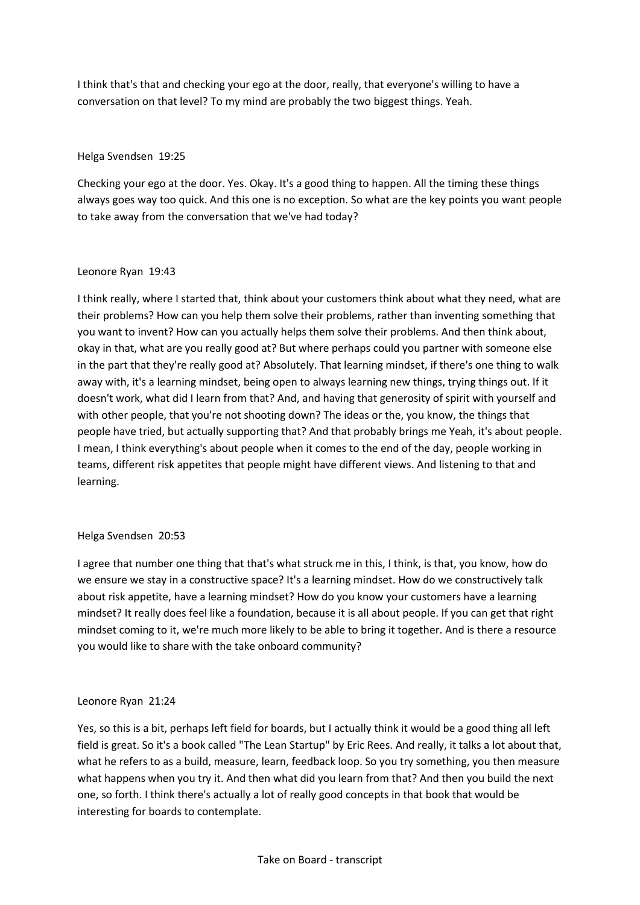I think that's that and checking your ego at the door, really, that everyone's willing to have a conversation on that level? To my mind are probably the two biggest things. Yeah.

## Helga Svendsen 19:25

Checking your ego at the door. Yes. Okay. It's a good thing to happen. All the timing these things always goes way too quick. And this one is no exception. So what are the key points you want people to take away from the conversation that we've had today?

#### Leonore Ryan 19:43

I think really, where I started that, think about your customers think about what they need, what are their problems? How can you help them solve their problems, rather than inventing something that you want to invent? How can you actually helps them solve their problems. And then think about, okay in that, what are you really good at? But where perhaps could you partner with someone else in the part that they're really good at? Absolutely. That learning mindset, if there's one thing to walk away with, it's a learning mindset, being open to always learning new things, trying things out. If it doesn't work, what did I learn from that? And, and having that generosity of spirit with yourself and with other people, that you're not shooting down? The ideas or the, you know, the things that people have tried, but actually supporting that? And that probably brings me Yeah, it's about people. I mean, I think everything's about people when it comes to the end of the day, people working in teams, different risk appetites that people might have different views. And listening to that and learning.

## Helga Svendsen 20:53

I agree that number one thing that that's what struck me in this, I think, is that, you know, how do we ensure we stay in a constructive space? It's a learning mindset. How do we constructively talk about risk appetite, have a learning mindset? How do you know your customers have a learning mindset? It really does feel like a foundation, because it is all about people. If you can get that right mindset coming to it, we're much more likely to be able to bring it together. And is there a resource you would like to share with the take onboard community?

## Leonore Ryan 21:24

Yes, so this is a bit, perhaps left field for boards, but I actually think it would be a good thing all left field is great. So it's a book called "The Lean Startup" by Eric Rees. And really, it talks a lot about that, what he refers to as a build, measure, learn, feedback loop. So you try something, you then measure what happens when you try it. And then what did you learn from that? And then you build the next one, so forth. I think there's actually a lot of really good concepts in that book that would be interesting for boards to contemplate.